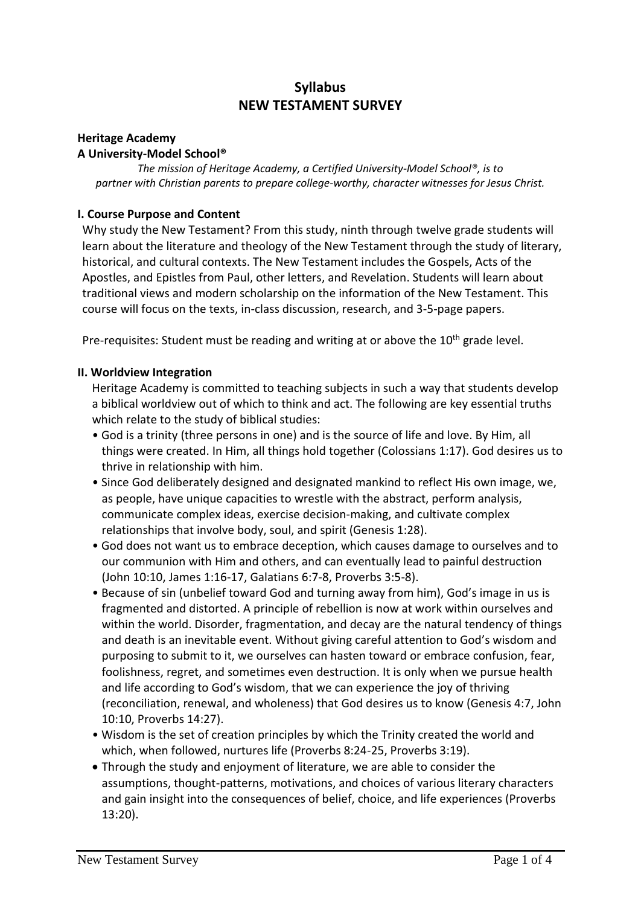# **Syllabus NEW TESTAMENT SURVEY**

#### **Heritage Academy A University-Model School®**

*The mission of Heritage Academy, a Certified University-Model School®, is to partner with Christian parents to prepare college-worthy, character witnesses for Jesus Christ.*

# **I. Course Purpose and Content**

Why study the New Testament? From this study, ninth through twelve grade students will learn about the literature and theology of the New Testament through the study of literary, historical, and cultural contexts. The New Testament includes the Gospels, Acts of the Apostles, and Epistles from Paul, other letters, and Revelation. Students will learn about traditional views and modern scholarship on the information of the New Testament. This course will focus on the texts, in-class discussion, research, and 3-5-page papers.

Pre-requisites: Student must be reading and writing at or above the  $10<sup>th</sup>$  grade level.

#### **II. Worldview Integration**

Heritage Academy is committed to teaching subjects in such a way that students develop a biblical worldview out of which to think and act. The following are key essential truths which relate to the study of biblical studies:

- God is a trinity (three persons in one) and is the source of life and love. By Him, all things were created. In Him, all things hold together (Colossians 1:17). God desires us to thrive in relationship with him.
- Since God deliberately designed and designated mankind to reflect His own image, we, as people, have unique capacities to wrestle with the abstract, perform analysis, communicate complex ideas, exercise decision-making, and cultivate complex relationships that involve body, soul, and spirit (Genesis 1:28).
- God does not want us to embrace deception, which causes damage to ourselves and to our communion with Him and others, and can eventually lead to painful destruction (John 10:10, James 1:16-17, Galatians 6:7-8, Proverbs 3:5-8).
- Because of sin (unbelief toward God and turning away from him), God's image in us is fragmented and distorted. A principle of rebellion is now at work within ourselves and within the world. Disorder, fragmentation, and decay are the natural tendency of things and death is an inevitable event. Without giving careful attention to God's wisdom and purposing to submit to it, we ourselves can hasten toward or embrace confusion, fear, foolishness, regret, and sometimes even destruction. It is only when we pursue health and life according to God's wisdom, that we can experience the joy of thriving (reconciliation, renewal, and wholeness) that God desires us to know (Genesis 4:7, John 10:10, Proverbs 14:27).
- Wisdom is the set of creation principles by which the Trinity created the world and which, when followed, nurtures life (Proverbs 8:24-25, Proverbs 3:19).
- Through the study and enjoyment of literature, we are able to consider the assumptions, thought-patterns, motivations, and choices of various literary characters and gain insight into the consequences of belief, choice, and life experiences (Proverbs 13:20).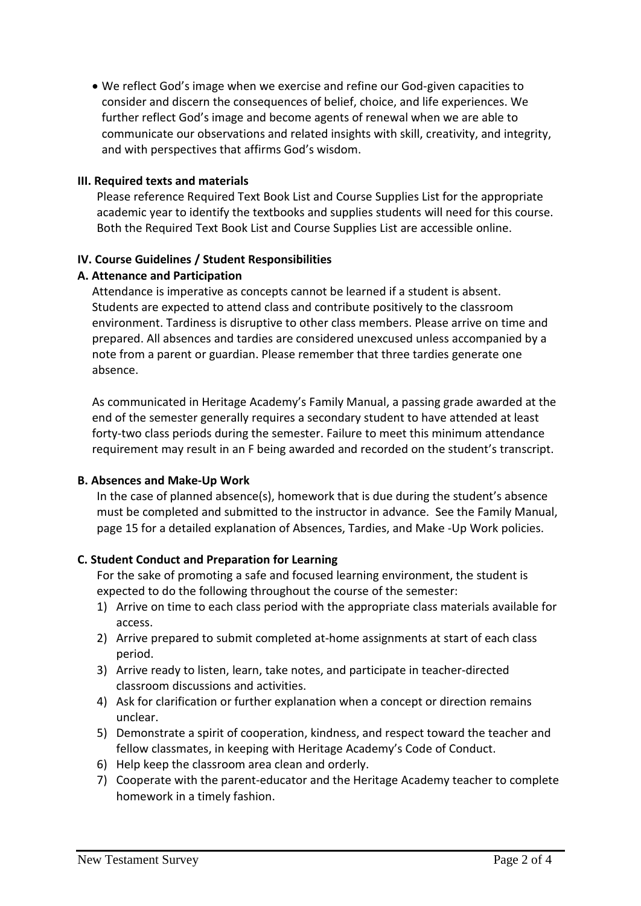We reflect God's image when we exercise and refine our God-given capacities to consider and discern the consequences of belief, choice, and life experiences. We further reflect God's image and become agents of renewal when we are able to communicate our observations and related insights with skill, creativity, and integrity, and with perspectives that affirms God's wisdom.

### **III. Required texts and materials**

Please reference Required Text Book List and Course Supplies List for the appropriate academic year to identify the textbooks and supplies students will need for this course. Both the Required Text Book List and Course Supplies List are accessible online.

#### **IV. Course Guidelines / Student Responsibilities**

#### **A. Attenance and Participation**

Attendance is imperative as concepts cannot be learned if a student is absent. Students are expected to attend class and contribute positively to the classroom environment. Tardiness is disruptive to other class members. Please arrive on time and prepared. All absences and tardies are considered unexcused unless accompanied by a note from a parent or guardian. Please remember that three tardies generate one absence.

As communicated in Heritage Academy's Family Manual, a passing grade awarded at the end of the semester generally requires a secondary student to have attended at least forty-two class periods during the semester. Failure to meet this minimum attendance requirement may result in an F being awarded and recorded on the student's transcript.

# **B. Absences and Make-Up Work**

In the case of planned absence(s), homework that is due during the student's absence must be completed and submitted to the instructor in advance. See the Family Manual, page 15 for a detailed explanation of Absences, Tardies, and Make -Up Work policies.

# **C. Student Conduct and Preparation for Learning**

For the sake of promoting a safe and focused learning environment, the student is expected to do the following throughout the course of the semester:

- 1) Arrive on time to each class period with the appropriate class materials available for access.
- 2) Arrive prepared to submit completed at-home assignments at start of each class period.
- 3) Arrive ready to listen, learn, take notes, and participate in teacher-directed classroom discussions and activities.
- 4) Ask for clarification or further explanation when a concept or direction remains unclear.
- 5) Demonstrate a spirit of cooperation, kindness, and respect toward the teacher and fellow classmates, in keeping with Heritage Academy's Code of Conduct.
- 6) Help keep the classroom area clean and orderly.
- 7) Cooperate with the parent-educator and the Heritage Academy teacher to complete homework in a timely fashion.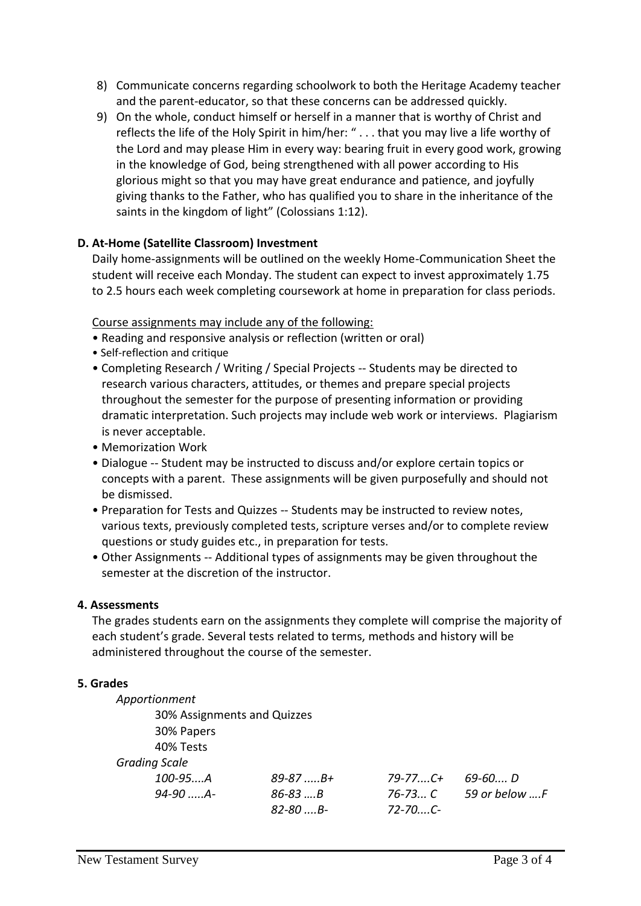- 8) Communicate concerns regarding schoolwork to both the Heritage Academy teacher and the parent-educator, so that these concerns can be addressed quickly.
- 9) On the whole, conduct himself or herself in a manner that is worthy of Christ and reflects the life of the Holy Spirit in him/her: " . . . that you may live a life worthy of the Lord and may please Him in every way: bearing fruit in every good work, growing in the knowledge of God, being strengthened with all power according to His glorious might so that you may have great endurance and patience, and joyfully giving thanks to the Father, who has qualified you to share in the inheritance of the saints in the kingdom of light" (Colossians 1:12).

# **D. At-Home (Satellite Classroom) Investment**

Daily home-assignments will be outlined on the weekly Home-Communication Sheet the student will receive each Monday. The student can expect to invest approximately 1.75 to 2.5 hours each week completing coursework at home in preparation for class periods.

#### Course assignments may include any of the following:

- Reading and responsive analysis or reflection (written or oral)
- Self-reflection and critique
- Completing Research / Writing / Special Projects -- Students may be directed to research various characters, attitudes, or themes and prepare special projects throughout the semester for the purpose of presenting information or providing dramatic interpretation. Such projects may include web work or interviews. Plagiarism is never acceptable.
- Memorization Work
- Dialogue -- Student may be instructed to discuss and/or explore certain topics or concepts with a parent. These assignments will be given purposefully and should not be dismissed.
- Preparation for Tests and Quizzes -- Students may be instructed to review notes, various texts, previously completed tests, scripture verses and/or to complete review questions or study guides etc., in preparation for tests.
- Other Assignments -- Additional types of assignments may be given throughout the semester at the discretion of the instructor.

# **4. Assessments**

The grades students earn on the assignments they complete will comprise the majority of each student's grade. Several tests related to terms, methods and history will be administered throughout the course of the semester.

#### **5. Grades**

| 30% Assignments and Quizzes |                 |               |
|-----------------------------|-----------------|---------------|
|                             |                 |               |
|                             |                 |               |
|                             |                 |               |
| $89 - 87 \dots B +$         | $79 - 77$ $C +$ | 69-60 D       |
| $86 - 83$ B                 | $76 - 73$ C     | 59 or below F |
| $82 - 80$ $B -$             | $72 - 70C$      |               |
|                             |                 |               |